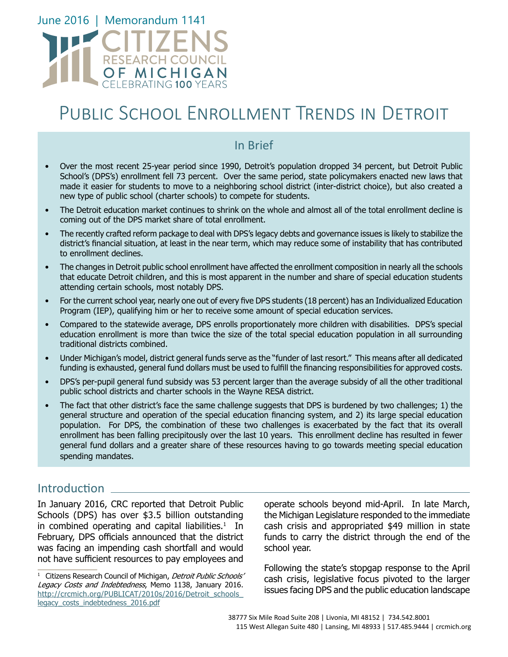

# Public School Enrollment Trends in Detroit

# In Brief

- Over the most recent 25-year period since 1990, Detroit's population dropped 34 percent, but Detroit Public School's (DPS's) enrollment fell 73 percent. Over the same period, state policymakers enacted new laws that made it easier for students to move to a neighboring school district (inter-district choice), but also created a new type of public school (charter schools) to compete for students.
- The Detroit education market continues to shrink on the whole and almost all of the total enrollment decline is coming out of the DPS market share of total enrollment.
- The recently crafted reform package to deal with DPS's legacy debts and governance issues is likely to stabilize the district's financial situation, at least in the near term, which may reduce some of instability that has contributed to enrollment declines.
- The changes in Detroit public school enrollment have affected the enrollment composition in nearly all the schools that educate Detroit children, and this is most apparent in the number and share of special education students attending certain schools, most notably DPS.
- For the current school year, nearly one out of every five DPS students (18 percent) has an Individualized Education Program (IEP), qualifying him or her to receive some amount of special education services.
- Compared to the statewide average, DPS enrolls proportionately more children with disabilities. DPS's special education enrollment is more than twice the size of the total special education population in all surrounding traditional districts combined.
- Under Michigan's model, district general funds serve as the "funder of last resort." This means after all dedicated funding is exhausted, general fund dollars must be used to fulfill the financing responsibilities for approved costs.
- DPS's per-pupil general fund subsidy was 53 percent larger than the average subsidy of all the other traditional public school districts and charter schools in the Wayne RESA district.
- The fact that other district's face the same challenge suggests that DPS is burdened by two challenges; 1) the general structure and operation of the special education financing system, and 2) its large special education population. For DPS, the combination of these two challenges is exacerbated by the fact that its overall enrollment has been falling precipitously over the last 10 years. This enrollment decline has resulted in fewer general fund dollars and a greater share of these resources having to go towards meeting special education spending mandates.

# Introduction L

In January 2016, CRC reported that Detroit Public Schools (DPS) has over \$3.5 billion outstanding in combined operating and capital liabilities. $1$  In February, DPS officials announced that the district was facing an impending cash shortfall and would not have sufficient resources to pay employees and

operate schools beyond mid-April. In late March, the Michigan Legislature responded to the immediate cash crisis and appropriated \$49 million in state funds to carry the district through the end of the school year.

Following the state's stopgap response to the April cash crisis, legislative focus pivoted to the larger issues facing DPS and the public education landscape

<sup>&</sup>lt;sup>1</sup> Citizens Research Council of Michigan, Detroit Public Schools' Legacy Costs and Indebtedness, Memo 1138, January 2016. http://crcmich.org/PUBLICAT/2010s/2016/Detroit\_schools [legacy\\_costs\\_indebtedness\\_2016.pdf](http://crcmich.org/PUBLICAT/2010s/2016/Detroit_schools_legacy_costs_indebtedness_2016.pdf)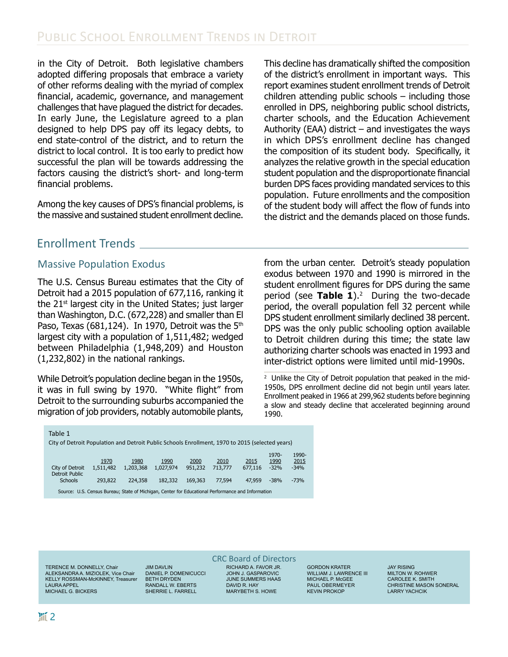in the City of Detroit. Both legislative chambers adopted differing proposals that embrace a variety of other reforms dealing with the myriad of complex financial, academic, governance, and management challenges that have plagued the district for decades. In early June, the Legislature agreed to a plan designed to help DPS pay off its legacy debts, to end state-control of the district, and to return the district to local control. It is too early to predict how successful the plan will be towards addressing the factors causing the district's short- and long-term financial problems.

Among the key causes of DPS's financial problems, is the massive and sustained student enrollment decline. This decline has dramatically shifted the composition of the district's enrollment in important ways. This report examines student enrollment trends of Detroit children attending public schools – including those enrolled in DPS, neighboring public school districts, charter schools, and the Education Achievement Authority (EAA) district  $-$  and investigates the ways in which DPS's enrollment decline has changed the composition of its student body. Specifically, it analyzes the relative growth in the special education student population and the disproportionate financial burden DPS faces providing mandated services to this population. Future enrollments and the composition of the student body will affect the flow of funds into the district and the demands placed on those funds.

# Enrollment Trends

### Massive Population Exodus

The U.S. Census Bureau estimates that the City of Detroit had a 2015 population of 677,116, ranking it the  $21<sup>st</sup>$  largest city in the United States; just larger than Washington, D.C. (672,228) and smaller than El Paso, Texas (681,124). In 1970, Detroit was the  $5<sup>th</sup>$ largest city with a population of 1,511,482; wedged between Philadelphia (1,948,209) and Houston (1,232,802) in the national rankings.

While Detroit's population decline began in the 1950s, it was in full swing by 1970. "White flight" from Detroit to the surrounding suburbs accompanied the migration of job providers, notably automobile plants, from the urban center. Detroit's steady population exodus between 1970 and 1990 is mirrored in the student enrollment figures for DPS during the same period (see **Table 1**).2 During the two-decade period, the overall population fell 32 percent while DPS student enrollment similarly declined 38 percent. DPS was the only public schooling option available to Detroit children during this time; the state law authorizing charter schools was enacted in 1993 and inter-district options were limited until mid-1990s.

<sup>2</sup> Unlike the City of Detroit population that peaked in the mid-1950s, DPS enrollment decline did not begin until years later. Enrollment peaked in 1966 at 299,962 students before beginning a slow and steady decline that accelerated beginning around 1990.

| Table 1                                                                                           |           |           |           |         |         |         |               |               |
|---------------------------------------------------------------------------------------------------|-----------|-----------|-----------|---------|---------|---------|---------------|---------------|
| City of Detroit Population and Detroit Public Schools Enrollment, 1970 to 2015 (selected years)   |           |           |           |         |         |         |               |               |
|                                                                                                   | 1970      | 1980      | 1990      | 2000    | 2010    | 2015    | 1970-<br>1990 | 1990-<br>2015 |
| City of Detroit<br>Detroit Public                                                                 | 1,511,482 | 1,203,368 | 1.027.974 | 951,232 | 713,777 | 677,116 | $-32%$        | $-34%$        |
| <b>Schools</b>                                                                                    | 293,822   | 224,358   | 182,332   | 169.363 | 77.594  | 47.959  | $-38%$        | $-73%$        |
| Source: U.S. Census Bureau; State of Michigan, Center for Educational Performance and Information |           |           |           |         |         |         |               |               |

TERENCE M. DONNELLY, Chair ALEKSANDRA A. MIZIOLEK, Vice Chair KELLY ROSSMAN-McKINNEY, Treasurer LAURA APPEL MICHAEL G. BICKERS

JIM DAVLIN DANIEL P. DOMENICUCCI BETH DRYDEN RANDALL W. EBERTS SHERRIE L. FARRELL

CRC Board of Directors RICHARD A. FAVOR JR. JOHN J. GASPAROVIC JUNE SUMMERS HAAS DAVID R. HAY

MARYBETH S. HOWE

GORDON KRATER WILLIAM J. LAWRENCE III MICHAEL P. McGEE PAUL OBERMEYER KEVIN PROKOP

JAY RISING MILTON W. ROHWER CAROLEE K. SMITH CHRISTINE MASON SONERAL LARRY YACHCIK

Table 1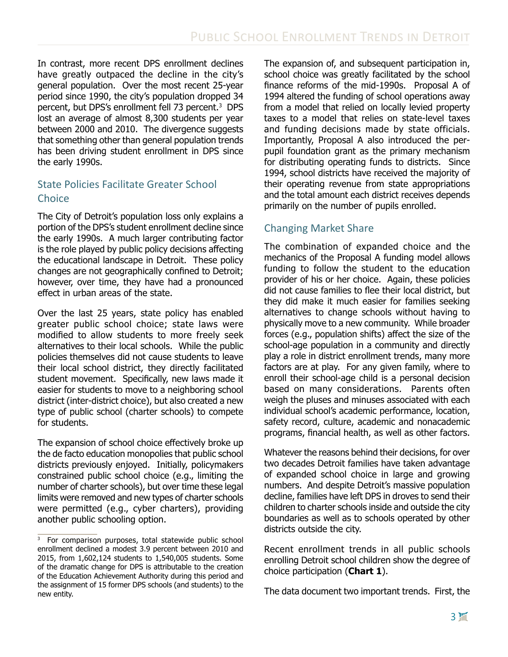In contrast, more recent DPS enrollment declines have greatly outpaced the decline in the city's general population. Over the most recent 25-year period since 1990, the city's population dropped 34 percent, but DPS's enrollment fell 73 percent.3 DPS lost an average of almost 8,300 students per year between 2000 and 2010. The divergence suggests that something other than general population trends has been driving student enrollment in DPS since the early 1990s.

### State Policies Facilitate Greater School **Choice**

The City of Detroit's population loss only explains a portion of the DPS's student enrollment decline since the early 1990s. A much larger contributing factor is the role played by public policy decisions affecting the educational landscape in Detroit. These policy changes are not geographically confined to Detroit; however, over time, they have had a pronounced effect in urban areas of the state.

Over the last 25 years, state policy has enabled greater public school choice; state laws were modified to allow students to more freely seek alternatives to their local schools. While the public policies themselves did not cause students to leave their local school district, they directly facilitated student movement. Specifically, new laws made it easier for students to move to a neighboring school district (inter-district choice), but also created a new type of public school (charter schools) to compete for students.

The expansion of school choice effectively broke up the de facto education monopolies that public school districts previously enjoyed. Initially, policymakers constrained public school choice (e.g., limiting the number of charter schools), but over time these legal limits were removed and new types of charter schools were permitted (e.g., cyber charters), providing another public schooling option.

The expansion of, and subsequent participation in, school choice was greatly facilitated by the school finance reforms of the mid-1990s. Proposal A of 1994 altered the funding of school operations away from a model that relied on locally levied property taxes to a model that relies on state-level taxes and funding decisions made by state officials. Importantly, Proposal A also introduced the perpupil foundation grant as the primary mechanism for distributing operating funds to districts. Since 1994, school districts have received the majority of their operating revenue from state appropriations and the total amount each district receives depends primarily on the number of pupils enrolled.

## Changing Market Share

The combination of expanded choice and the mechanics of the Proposal A funding model allows funding to follow the student to the education provider of his or her choice. Again, these policies did not cause families to flee their local district, but they did make it much easier for families seeking alternatives to change schools without having to physically move to a new community. While broader forces (e.g., population shifts) affect the size of the school-age population in a community and directly play a role in district enrollment trends, many more factors are at play. For any given family, where to enroll their school-age child is a personal decision based on many considerations. Parents often weigh the pluses and minuses associated with each individual school's academic performance, location, safety record, culture, academic and nonacademic programs, financial health, as well as other factors.

Whatever the reasons behind their decisions, for over two decades Detroit families have taken advantage of expanded school choice in large and growing numbers. And despite Detroit's massive population decline, families have left DPS in droves to send their children to charter schools inside and outside the city boundaries as well as to schools operated by other districts outside the city.

Recent enrollment trends in all public schools enrolling Detroit school children show the degree of choice participation (**Chart 1**).

The data document two important trends. First, the

<sup>3</sup> For comparison purposes, total statewide public school enrollment declined a modest 3.9 percent between 2010 and 2015, from 1,602,124 students to 1,540,005 students. Some of the dramatic change for DPS is attributable to the creation of the Education Achievement Authority during this period and the assignment of 15 former DPS schools (and students) to the new entity.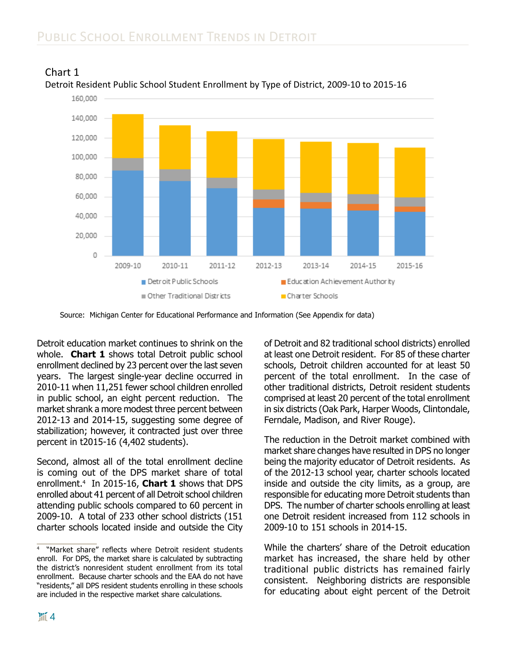



Detroit education market continues to shrink on the whole. **Chart 1** shows total Detroit public school enrollment declined by 23 percent over the last seven years. The largest single-year decline occurred in 2010-11 when 11,251 fewer school children enrolled in public school, an eight percent reduction. The market shrank a more modest three percent between 2012-13 and 2014-15, suggesting some degree of stabilization; however, it contracted just over three percent in t2015-16 (4,402 students).

Second, almost all of the total enrollment decline is coming out of the DPS market share of total enrollment.4 In 2015-16, **Chart 1** shows that DPS enrolled about 41 percent of all Detroit school children attending public schools compared to 60 percent in 2009-10. A total of 233 other school districts (151 charter schools located inside and outside the City

of Detroit and 82 traditional school districts) enrolled at least one Detroit resident. For 85 of these charter schools, Detroit children accounted for at least 50 percent of the total enrollment. In the case of other traditional districts, Detroit resident students comprised at least 20 percent of the total enrollment in six districts (Oak Park, Harper Woods, Clintondale, Ferndale, Madison, and River Rouge).

The reduction in the Detroit market combined with market share changes have resulted in DPS no longer being the majority educator of Detroit residents. As of the 2012-13 school year, charter schools located inside and outside the city limits, as a group, are responsible for educating more Detroit students than DPS. The number of charter schools enrolling at least one Detroit resident increased from 112 schools in 2009-10 to 151 schools in 2014-15.

While the charters' share of the Detroit education market has increased, the share held by other traditional public districts has remained fairly consistent. Neighboring districts are responsible for educating about eight percent of the Detroit

Source: Michigan Center for Educational Performance and Information (See Appendix for data)

<sup>4</sup> "Market share" reflects where Detroit resident students enroll. For DPS, the market share is calculated by subtracting the district's nonresident student enrollment from its total enrollment. Because charter schools and the EAA do not have "residents," all DPS resident students enrolling in these schools are included in the respective market share calculations.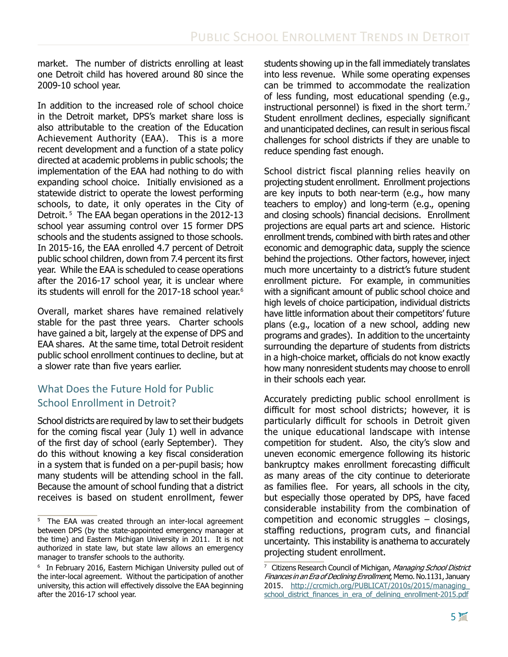market. The number of districts enrolling at least one Detroit child has hovered around 80 since the 2009-10 school year.

In addition to the increased role of school choice in the Detroit market, DPS's market share loss is also attributable to the creation of the Education Achievement Authority (EAA). This is a more recent development and a function of a state policy directed at academic problems in public schools; the implementation of the EAA had nothing to do with expanding school choice. Initially envisioned as a statewide district to operate the lowest performing schools, to date, it only operates in the City of Detroit.<sup>5</sup> The EAA began operations in the 2012-13 school year assuming control over 15 former DPS schools and the students assigned to those schools. In 2015-16, the EAA enrolled 4.7 percent of Detroit public school children, down from 7.4 percent its first year. While the EAA is scheduled to cease operations after the 2016-17 school year, it is unclear where its students will enroll for the 2017-18 school year.<sup>6</sup>

Overall, market shares have remained relatively stable for the past three years. Charter schools have gained a bit, largely at the expense of DPS and EAA shares. At the same time, total Detroit resident public school enrollment continues to decline, but at a slower rate than five years earlier.

# What Does the Future Hold for Public School Enrollment in Detroit?

School districts are required by law to set their budgets for the coming fiscal year (July 1) well in advance of the first day of school (early September). They do this without knowing a key fiscal consideration in a system that is funded on a per-pupil basis; how many students will be attending school in the fall. Because the amount of school funding that a district receives is based on student enrollment, fewer

students showing up in the fall immediately translates into less revenue. While some operating expenses can be trimmed to accommodate the realization of less funding, most educational spending (e.g., instructional personnel) is fixed in the short term.<sup>7</sup> Student enrollment declines, especially significant and unanticipated declines, can result in serious fiscal challenges for school districts if they are unable to reduce spending fast enough.

School district fiscal planning relies heavily on projecting student enrollment. Enrollment projections are key inputs to both near-term (e.g., how many teachers to employ) and long-term (e.g., opening and closing schools) financial decisions. Enrollment projections are equal parts art and science. Historic enrollment trends, combined with birth rates and other economic and demographic data, supply the science behind the projections. Other factors, however, inject much more uncertainty to a district's future student enrollment picture. For example, in communities with a significant amount of public school choice and high levels of choice participation, individual districts have little information about their competitors' future plans (e.g., location of a new school, adding new programs and grades). In addition to the uncertainty surrounding the departure of students from districts in a high-choice market, officials do not know exactly how many nonresident students may choose to enroll in their schools each year.

Accurately predicting public school enrollment is difficult for most school districts; however, it is particularly difficult for schools in Detroit given the unique educational landscape with intense competition for student. Also, the city's slow and uneven economic emergence following its historic bankruptcy makes enrollment forecasting difficult as many areas of the city continue to deteriorate as families flee. For years, all schools in the city, but especially those operated by DPS, have faced considerable instability from the combination of competition and economic struggles – closings, staffing reductions, program cuts, and financial uncertainty. This instability is anathema to accurately projecting student enrollment.

<sup>5</sup> The EAA was created through an inter-local agreement between DPS (by the state-appointed emergency manager at the time) and Eastern Michigan University in 2011. It is not authorized in state law, but state law allows an emergency manager to transfer schools to the authority.

<sup>&</sup>lt;sup>6</sup> In February 2016, Eastern Michigan University pulled out of the inter-local agreement. Without the participation of another university, this action will effectively dissolve the EAA beginning after the 2016-17 school year.

<sup>&</sup>lt;sup>7</sup> Citizens Research Council of Michigan, *Managing School District* Finances in an Era of Declining Enrollment, Memo. No.1131, January 2015. [http://crcmich.org/PUBLICAT/2010s/2015/managing\\_](http://crcmich.org/PUBLICAT/2010s/2015/managing_school_district_finances_in_era_of_delining_enrollment-2015.pdf) school district finances in era of delining enrollment-2015.pdf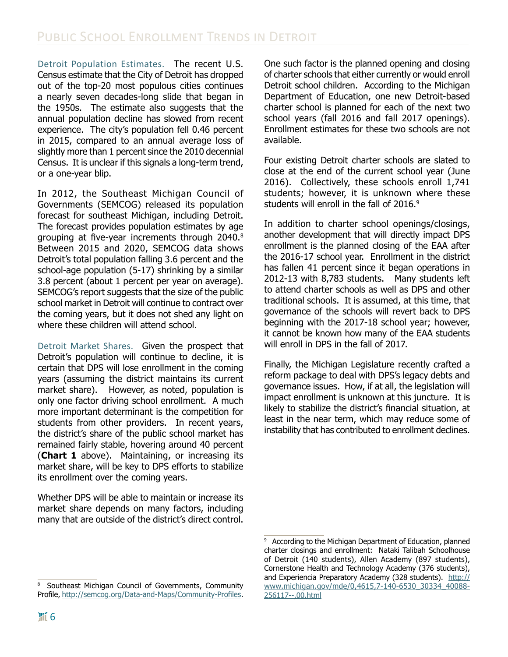Detroit Population Estimates. The recent U.S. Census estimate that the City of Detroit has dropped out of the top-20 most populous cities continues a nearly seven decades-long slide that began in the 1950s. The estimate also suggests that the annual population decline has slowed from recent experience. The city's population fell 0.46 percent in 2015, compared to an annual average loss of slightly more than 1 percent since the 2010 decennial Census. It is unclear if this signals a long-term trend, or a one-year blip.

In 2012, the Southeast Michigan Council of Governments (SEMCOG) released its population forecast for southeast Michigan, including Detroit. The forecast provides population estimates by age grouping at five-year increments through 2040.8 Between 2015 and 2020, SEMCOG data shows Detroit's total population falling 3.6 percent and the school-age population (5-17) shrinking by a similar 3.8 percent (about 1 percent per year on average). SEMCOG's report suggests that the size of the public school market in Detroit will continue to contract over the coming years, but it does not shed any light on where these children will attend school.

Detroit Market Shares. Given the prospect that Detroit's population will continue to decline, it is certain that DPS will lose enrollment in the coming years (assuming the district maintains its current market share). However, as noted, population is only one factor driving school enrollment. A much more important determinant is the competition for students from other providers. In recent years, the district's share of the public school market has remained fairly stable, hovering around 40 percent (**Chart 1** above). Maintaining, or increasing its market share, will be key to DPS efforts to stabilize its enrollment over the coming years.

Whether DPS will be able to maintain or increase its market share depends on many factors, including many that are outside of the district's direct control.

One such factor is the planned opening and closing of charter schools that either currently or would enroll Detroit school children. According to the Michigan Department of Education, one new Detroit-based charter school is planned for each of the next two school years (fall 2016 and fall 2017 openings). Enrollment estimates for these two schools are not available.

Four existing Detroit charter schools are slated to close at the end of the current school year (June 2016). Collectively, these schools enroll 1,741 students; however, it is unknown where these students will enroll in the fall of 2016.<sup>9</sup>

In addition to charter school openings/closings, another development that will directly impact DPS enrollment is the planned closing of the EAA after the 2016-17 school year. Enrollment in the district has fallen 41 percent since it began operations in 2012-13 with 8,783 students. Many students left to attend charter schools as well as DPS and other traditional schools. It is assumed, at this time, that governance of the schools will revert back to DPS beginning with the 2017-18 school year; however, it cannot be known how many of the EAA students will enroll in DPS in the fall of 2017.

Finally, the Michigan Legislature recently crafted a reform package to deal with DPS's legacy debts and governance issues. How, if at all, the legislation will impact enrollment is unknown at this juncture. It is likely to stabilize the district's financial situation, at least in the near term, which may reduce some of instability that has contributed to enrollment declines.

<sup>8</sup> Southeast Michigan Council of Governments, Community Profile,<http://semcog.org/Data-and-Maps/Community-Profiles>.

<sup>&</sup>lt;sup>9</sup> According to the Michigan Department of Education, planned charter closings and enrollment: Nataki Talibah Schoolhouse of Detroit (140 students), Allen Academy (897 students), Cornerstone Health and Technology Academy (376 students), and Experiencia Preparatory Academy (328 students). [http://](http://www.michigan.gov/mde/0,4615,7-140-6530_30334_40088-256117--,00.html) [www.michigan.gov/mde/0,4615,7-140-6530\\_30334\\_40088-](http://www.michigan.gov/mde/0,4615,7-140-6530_30334_40088-256117--,00.html) [256117--,00.html](http://www.michigan.gov/mde/0,4615,7-140-6530_30334_40088-256117--,00.html)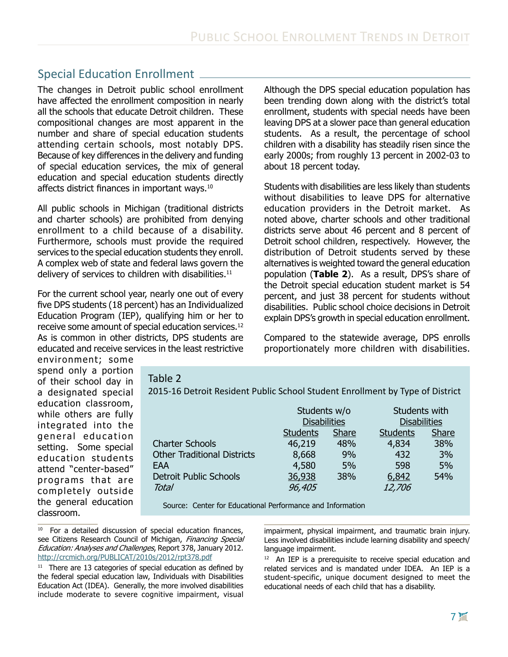# Special Education Enrollment

The changes in Detroit public school enrollment have affected the enrollment composition in nearly all the schools that educate Detroit children. These compositional changes are most apparent in the number and share of special education students attending certain schools, most notably DPS. Because of key differences in the delivery and funding of special education services, the mix of general education and special education students directly affects district finances in important wavs.<sup>10</sup>

All public schools in Michigan (traditional districts and charter schools) are prohibited from denying enrollment to a child because of a disability. Furthermore, schools must provide the required services to the special education students they enroll. A complex web of state and federal laws govern the delivery of services to children with disabilities.<sup>11</sup>

For the current school year, nearly one out of every five DPS students (18 percent) has an Individualized Education Program (IEP), qualifying him or her to receive some amount of special education services.12 As is common in other districts, DPS students are educated and receive services in the least restrictive Although the DPS special education population has been trending down along with the district's total enrollment, students with special needs have been leaving DPS at a slower pace than general education students. As a result, the percentage of school children with a disability has steadily risen since the early 2000s; from roughly 13 percent in 2002-03 to about 18 percent today.

Students with disabilities are less likely than students without disabilities to leave DPS for alternative education providers in the Detroit market. As noted above, charter schools and other traditional districts serve about 46 percent and 8 percent of Detroit school children, respectively. However, the distribution of Detroit students served by these alternatives is weighted toward the general education population (**Table 2**). As a result, DPS's share of the Detroit special education student market is 54 percent, and just 38 percent for students without disabilities. Public school choice decisions in Detroit explain DPS's growth in special education enrollment.

Compared to the statewide average, DPS enrolls proportionately more children with disabilities.

environment; some spend only a portion of their school day in a designated special education classroom, while others are fully integrated into the general education setting. Some special education students attend "center-based" programs that are completely outside the general education classroom.

#### Table 2

2015-16 Detroit Resident Public School Student Enrollment by Type of District

|                                    | Students w/o             |     | Students with       |              |  |
|------------------------------------|--------------------------|-----|---------------------|--------------|--|
|                                    | <b>Disabilities</b>      |     | <b>Disabilities</b> |              |  |
|                                    | Share<br><b>Students</b> |     | <b>Students</b>     | <b>Share</b> |  |
| <b>Charter Schools</b>             | 46,219                   | 48% | 4,834               | 38%          |  |
| <b>Other Traditional Districts</b> | 8,668                    | 9%  | 432                 | 3%           |  |
| EAA                                | 4,580                    | 5%  | 598                 | 5%           |  |
| <b>Detroit Public Schools</b>      | 36,938                   | 38% | 6,842               | 54%          |  |
| Total                              | 96,405                   |     | 12,706              |              |  |
|                                    |                          |     |                     |              |  |

Source: Center for Educational Performance and Information

impairment, physical impairment, and traumatic brain injury. Less involved disabilities include learning disability and speech/ language impairment.

<sup>12</sup> An IEP is a prerequisite to receive special education and related services and is mandated under IDEA. An IEP is a student-specific, unique document designed to meet the educational needs of each child that has a disability.

<sup>&</sup>lt;sup>10</sup> For a detailed discussion of special education finances, see Citizens Research Council of Michigan, Financing Special Education: Analyses and Challenges, Report 378, January 2012. <http://crcmich.org/PUBLICAT/2010s/2012/rpt378.pdf>

 $11$  There are 13 categories of special education as defined by the federal special education law, Individuals with Disabilities Education Act (IDEA). Generally, the more involved disabilities include moderate to severe cognitive impairment, visual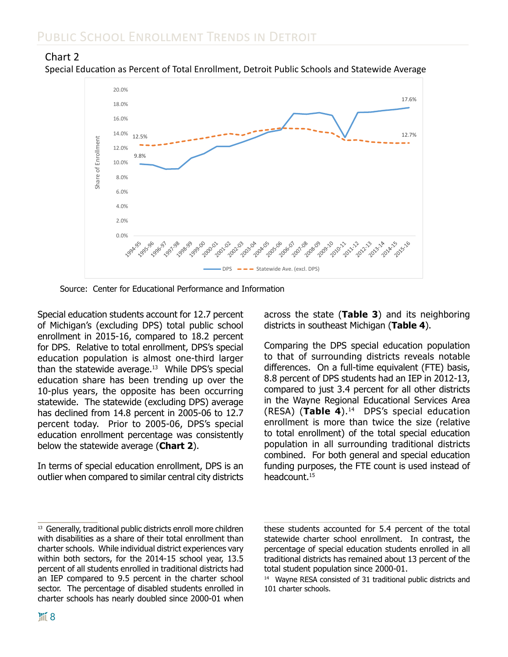#### Chart 2 Special Education as Percent of Total Enrollment, Detroit Public Schools and Statewide Average



Source: Center for Educational Performance and Information

Special education students account for 12.7 percent of Michigan's (excluding DPS) total public school enrollment in 2015-16, compared to 18.2 percent for DPS. Relative to total enrollment, DPS's special education population is almost one-third larger than the statewide average. $13$  While DPS's special education share has been trending up over the 10-plus years, the opposite has been occurring statewide. The statewide (excluding DPS) average has declined from 14.8 percent in 2005-06 to 12.7 percent today. Prior to 2005-06, DPS's special education enrollment percentage was consistently below the statewide average (**Chart 2**).

In terms of special education enrollment, DPS is an outlier when compared to similar central city districts

across the state (**Table 3**) and its neighboring districts in southeast Michigan (**Table 4**).

Comparing the DPS special education population to that of surrounding districts reveals notable differences. On a full-time equivalent (FTE) basis, 8.8 percent of DPS students had an IEP in 2012-13, compared to just 3.4 percent for all other districts in the Wayne Regional Educational Services Area (RESA) (**Table 4**).14 DPS's special education enrollment is more than twice the size (relative to total enrollment) of the total special education population in all surrounding traditional districts combined. For both general and special education funding purposes, the FTE count is used instead of headcount.15

<sup>&</sup>lt;sup>13</sup> Generally, traditional public districts enroll more children with disabilities as a share of their total enrollment than charter schools. While individual district experiences vary within both sectors, for the 2014-15 school year, 13.5 percent of all students enrolled in traditional districts had an IEP compared to 9.5 percent in the charter school sector. The percentage of disabled students enrolled in charter schools has nearly doubled since 2000-01 when

these students accounted for 5.4 percent of the total statewide charter school enrollment. In contrast, the percentage of special education students enrolled in all traditional districts has remained about 13 percent of the total student population since 2000-01.

<sup>&</sup>lt;sup>14</sup> Wayne RESA consisted of 31 traditional public districts and 101 charter schools.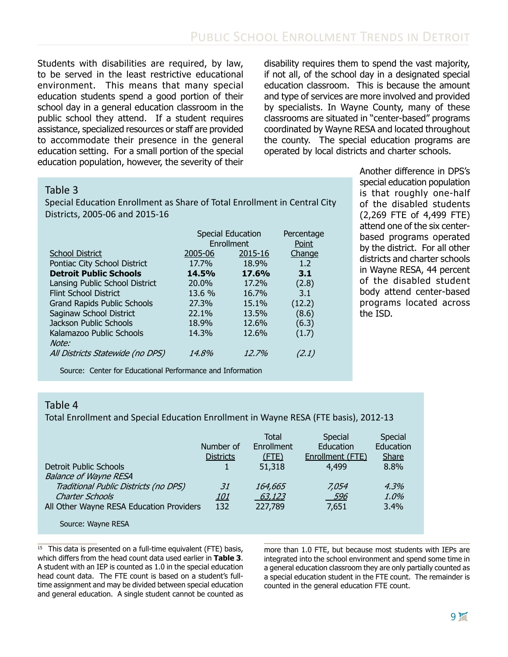Students with disabilities are required, by law, to be served in the least restrictive educational environment. This means that many special education students spend a good portion of their school day in a general education classroom in the public school they attend. If a student requires assistance, specialized resources or staff are provided to accommodate their presence in the general education setting. For a small portion of the special education population, however, the severity of their disability requires them to spend the vast majority, if not all, of the school day in a designated special education classroom. This is because the amount and type of services are more involved and provided by specialists. In Wayne County, many of these classrooms are situated in "center-based" programs coordinated by Wayne RESA and located throughout the county. The special education programs are operated by local districts and charter schools.

#### Table 3

Special Education Enrollment as Share of Total Enrollment in Central City Districts, 2005-06 and 2015-16

|                                    | <b>Special Education</b> | Percentage   |        |  |
|------------------------------------|--------------------------|--------------|--------|--|
|                                    |                          | Enrollment   |        |  |
| <b>School District</b>             | 2005-06                  | 2015-16      | Change |  |
| Pontiac City School District       | 17.7%                    | 18.9%        | 1.2    |  |
| <b>Detroit Public Schools</b>      | 14.5%                    | <b>17.6%</b> | 3.1    |  |
| Lansing Public School District     | 20.0%                    | 17.2%        | (2.8)  |  |
| <b>Flint School District</b>       | 13.6 %                   | 16.7%        | 3.1    |  |
| <b>Grand Rapids Public Schools</b> | 27.3%                    | 15.1%        | (12.2) |  |
| Saginaw School District            | 22.1%                    | 13.5%        | (8.6)  |  |
| Jackson Public Schools             | 18.9%                    | 12.6%        | (6.3)  |  |
| Kalamazoo Public Schools           | 14.3%                    | 12.6%        | (1.7)  |  |
| Note:                              |                          |              |        |  |
| All Districts Statewide (no DPS)   | 14.8%                    | 12.7%        | (2.1)  |  |
|                                    |                          |              |        |  |

Another difference in DPS's special education population is that roughly one-half of the disabled students (2,269 FTE of 4,499 FTE) attend one of the six centerbased programs operated by the district. For all other districts and charter schools in Wayne RESA, 44 percent of the disabled student body attend center-based programs located across the ISD.

Source: Center for Educational Performance and Information

#### Table 4

Total Enrollment and Special Education Enrollment in Wayne RESA (FTE basis), 2012-13

|                                          | Number of<br><b>Districts</b> | <b>Total</b><br>Enrollment<br>$($ FTE $)$ | Special<br>Education<br>Enrollment (FTE) | Special<br>Education<br><b>Share</b> |
|------------------------------------------|-------------------------------|-------------------------------------------|------------------------------------------|--------------------------------------|
| Detroit Public Schools                   |                               | 51,318                                    | 4,499                                    | 8.8%                                 |
| <b>Balance of Wayne RESA</b>             |                               |                                           |                                          |                                      |
| Traditional Public Districts (no DPS)    | 31                            | 164,665                                   | 7.054                                    | 4.3%                                 |
| <b>Charter Schools</b>                   | <u> 101</u>                   | 63,123                                    | 596                                      | 1.0%                                 |
| All Other Wayne RESA Education Providers | 132                           | 227,789                                   | 7,651                                    | 3.4%                                 |
| Source: Wayne RESA                       |                               |                                           |                                          |                                      |

 $15$  This data is presented on a full-time equivalent (FTE) basis, which differs from the head count data used earlier in **Table 3**. A student with an IEP is counted as 1.0 in the special education head count data. The FTE count is based on a student's fulltime assignment and may be divided between special education and general education. A single student cannot be counted as more than 1.0 FTE, but because most students with IEPs are integrated into the school environment and spend some time in a general education classroom they are only partially counted as a special education student in the FTE count. The remainder is counted in the general education FTE count.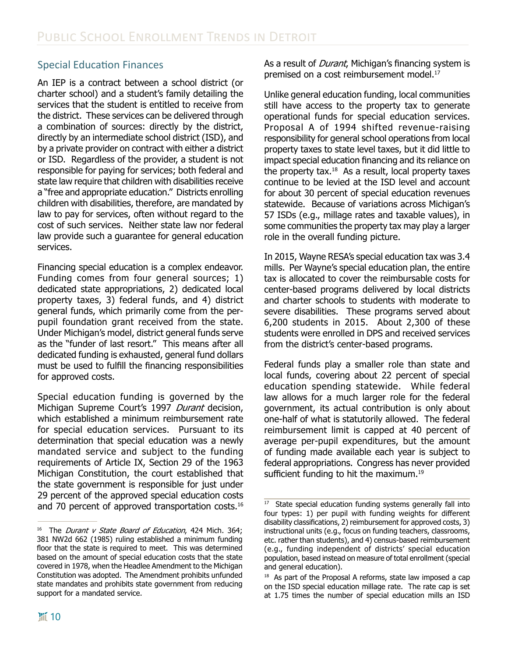## Special Education Finances

An IEP is a contract between a school district (or charter school) and a student's family detailing the services that the student is entitled to receive from the district. These services can be delivered through a combination of sources: directly by the district, directly by an intermediate school district (ISD), and by a private provider on contract with either a district or ISD. Regardless of the provider, a student is not responsible for paying for services; both federal and state law require that children with disabilities receive a "free and appropriate education." Districts enrolling children with disabilities, therefore, are mandated by law to pay for services, often without regard to the cost of such services. Neither state law nor federal law provide such a guarantee for general education services.

Financing special education is a complex endeavor. Funding comes from four general sources; 1) dedicated state appropriations, 2) dedicated local property taxes, 3) federal funds, and 4) district general funds, which primarily come from the perpupil foundation grant received from the state. Under Michigan's model, district general funds serve as the "funder of last resort." This means after all dedicated funding is exhausted, general fund dollars must be used to fulfill the financing responsibilities for approved costs.

Special education funding is governed by the Michigan Supreme Court's 1997 Durant decision, which established a minimum reimbursement rate for special education services. Pursuant to its determination that special education was a newly mandated service and subject to the funding requirements of Article IX, Section 29 of the 1963 Michigan Constitution, the court established that the state government is responsible for just under 29 percent of the approved special education costs and 70 percent of approved transportation costs.<sup>16</sup>

As a result of *Durant*, Michigan's financing system is premised on a cost reimbursement model.<sup>17</sup>

Unlike general education funding, local communities still have access to the property tax to generate operational funds for special education services. Proposal A of 1994 shifted revenue-raising responsibility for general school operations from local property taxes to state level taxes, but it did little to impact special education financing and its reliance on the property tax. $18$  As a result, local property taxes continue to be levied at the ISD level and account for about 30 percent of special education revenues statewide. Because of variations across Michigan's 57 ISDs (e.g., millage rates and taxable values), in some communities the property tax may play a larger role in the overall funding picture.

In 2015, Wayne RESA's special education tax was 3.4 mills. Per Wayne's special education plan, the entire tax is allocated to cover the reimbursable costs for center-based programs delivered by local districts and charter schools to students with moderate to severe disabilities. These programs served about 6,200 students in 2015. About 2,300 of these students were enrolled in DPS and received services from the district's center-based programs.

Federal funds play a smaller role than state and local funds, covering about 22 percent of special education spending statewide. While federal law allows for a much larger role for the federal government, its actual contribution is only about one-half of what is statutorily allowed. The federal reimbursement limit is capped at 40 percent of average per-pupil expenditures, but the amount of funding made available each year is subject to federal appropriations. Congress has never provided sufficient funding to hit the maximum.<sup>19</sup>

<sup>&</sup>lt;sup>16</sup> The *Durant v State Board of Education*, 424 Mich. 364; 381 NW2d 662 (1985) ruling established a minimum funding floor that the state is required to meet. This was determined based on the amount of special education costs that the state covered in 1978, when the Headlee Amendment to the Michigan Constitution was adopted. The Amendment prohibits unfunded state mandates and prohibits state government from reducing support for a mandated service.

<sup>&</sup>lt;sup>17</sup> State special education funding systems generally fall into four types: 1) per pupil with funding weights for different disability classifications, 2) reimbursement for approved costs, 3) instructional units (e.g., focus on funding teachers, classrooms, etc. rather than students), and 4) census-based reimbursement (e.g., funding independent of districts' special education population, based instead on measure of total enrollment (special and general education).

<sup>&</sup>lt;sup>18</sup> As part of the Proposal A reforms, state law imposed a cap on the ISD special education millage rate. The rate cap is set at 1.75 times the number of special education mills an ISD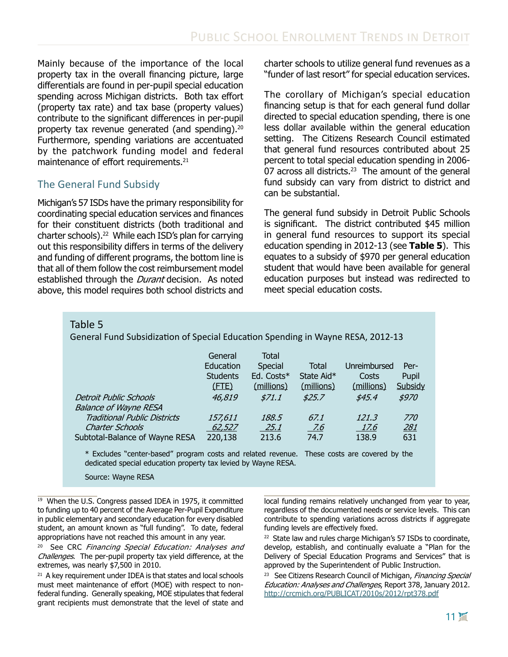Mainly because of the importance of the local property tax in the overall financing picture, large differentials are found in per-pupil special education spending across Michigan districts. Both tax effort (property tax rate) and tax base (property values) contribute to the significant differences in per-pupil property tax revenue generated (and spending).20 Furthermore, spending variations are accentuated by the patchwork funding model and federal maintenance of effort requirements.<sup>21</sup>

### The General Fund Subsidy

Michigan's 57 ISDs have the primary responsibility for coordinating special education services and finances for their constituent districts (both traditional and charter schools).22 While each ISD's plan for carrying out this responsibility differs in terms of the delivery and funding of different programs, the bottom line is that all of them follow the cost reimbursement model established through the *Durant* decision. As noted above, this model requires both school districts and charter schools to utilize general fund revenues as a "funder of last resort" for special education services.

The corollary of Michigan's special education financing setup is that for each general fund dollar directed to special education spending, there is one less dollar available within the general education setting. The Citizens Research Council estimated that general fund resources contributed about 25 percent to total special education spending in 2006- 07 across all districts. $23$  The amount of the general fund subsidy can vary from district to district and can be substantial.

The general fund subsidy in Detroit Public Schools is significant. The district contributed \$45 million in general fund resources to support its special education spending in 2012-13 (see **Table 5**). This equates to a subsidy of \$970 per general education student that would have been available for general education purposes but instead was redirected to meet special education costs.

#### Table 5

General Fund Subsidization of Special Education Spending in Wayne RESA, 2012-13

| <b>Detroit Public Schools</b><br><b>Balance of Wayne RESA</b> | General<br>Education<br><b>Students</b><br>$($ FTE $)$<br>46,819 | Total<br>Special<br>Ed. Costs*<br>(millions)<br>\$71.1 | Total<br>State Aid*<br>(millions)<br>\$25.7 | Unreimbursed<br>Costs<br>(millions)<br>\$45.4 | Per-<br>Pupil<br>Subsidy<br>\$970 |
|---------------------------------------------------------------|------------------------------------------------------------------|--------------------------------------------------------|---------------------------------------------|-----------------------------------------------|-----------------------------------|
| <b>Traditional Public Districts</b>                           | 157,611                                                          | 188.5                                                  | 67.1                                        | 121.3                                         | <i>770</i>                        |
| <b>Charter Schools</b>                                        | 62,527                                                           | 25.1                                                   | <u>.7.6</u>                                 | <u> 17.6</u>                                  | 281                               |
| Subtotal-Balance of Wayne RESA                                | 220,138                                                          | 213.6                                                  | 74.7                                        | 138.9                                         | 631                               |

\* Excludes "center-based" program costs and related revenue. These costs are covered by the dedicated special education property tax levied by Wayne RESA.

Source: Wayne RESA

<sup>20</sup> See CRC Financing Special Education: Analyses and Challenges. The per-pupil property tax yield difference, at the extremes, was nearly \$7,500 in 2010.

 $21$  A key requirement under IDEA is that states and local schools must meet maintenance of effort (MOE) with respect to nonfederal funding. Generally speaking, MOE stipulates that federal grant recipients must demonstrate that the level of state and

local funding remains relatively unchanged from year to year, regardless of the documented needs or service levels. This can contribute to spending variations across districts if aggregate funding levels are effectively fixed.

<sup>22</sup> State law and rules charge Michigan's 57 ISDs to coordinate, develop, establish, and continually evaluate a "Plan for the Delivery of Special Education Programs and Services" that is approved by the Superintendent of Public Instruction.

<sup>23</sup> See Citizens Research Council of Michigan, Financing Special Education: Analyses and Challenges, Report 378, January 2012. <http://crcmich.org/PUBLICAT/2010s/2012/rpt378.pdf>

<sup>&</sup>lt;sup>19</sup> When the U.S. Congress passed IDEA in 1975, it committed to funding up to 40 percent of the Average Per-Pupil Expenditure in public elementary and secondary education for every disabled student, an amount known as "full funding". To date, federal appropriations have not reached this amount in any year.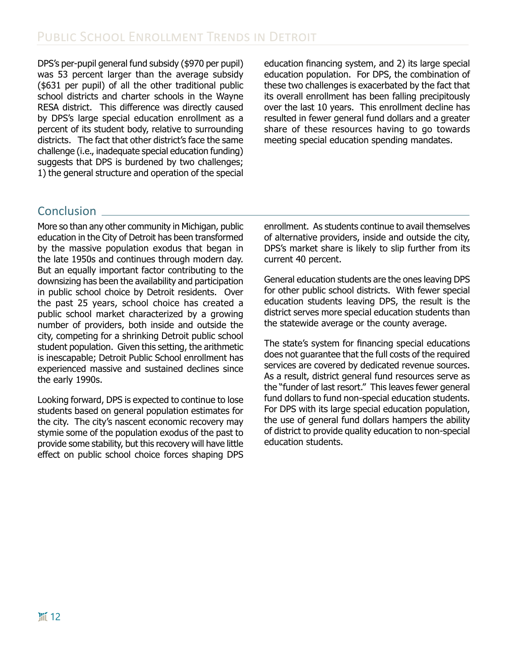DPS's per-pupil general fund subsidy (\$970 per pupil) was 53 percent larger than the average subsidy (\$631 per pupil) of all the other traditional public school districts and charter schools in the Wayne RESA district. This difference was directly caused by DPS's large special education enrollment as a percent of its student body, relative to surrounding districts. The fact that other district's face the same challenge (i.e., inadequate special education funding) suggests that DPS is burdened by two challenges; 1) the general structure and operation of the special

education financing system, and 2) its large special education population. For DPS, the combination of these two challenges is exacerbated by the fact that its overall enrollment has been falling precipitously over the last 10 years. This enrollment decline has resulted in fewer general fund dollars and a greater share of these resources having to go towards meeting special education spending mandates.

# **Conclusion**

More so than any other community in Michigan, public education in the City of Detroit has been transformed by the massive population exodus that began in the late 1950s and continues through modern day. But an equally important factor contributing to the downsizing has been the availability and participation in public school choice by Detroit residents. Over the past 25 years, school choice has created a public school market characterized by a growing number of providers, both inside and outside the city, competing for a shrinking Detroit public school student population. Given this setting, the arithmetic is inescapable; Detroit Public School enrollment has experienced massive and sustained declines since the early 1990s.

Looking forward, DPS is expected to continue to lose students based on general population estimates for the city. The city's nascent economic recovery may stymie some of the population exodus of the past to provide some stability, but this recovery will have little effect on public school choice forces shaping DPS enrollment. As students continue to avail themselves of alternative providers, inside and outside the city, DPS's market share is likely to slip further from its current 40 percent.

General education students are the ones leaving DPS for other public school districts. With fewer special education students leaving DPS, the result is the district serves more special education students than the statewide average or the county average.

The state's system for financing special educations does not guarantee that the full costs of the required services are covered by dedicated revenue sources. As a result, district general fund resources serve as the "funder of last resort." This leaves fewer general fund dollars to fund non-special education students. For DPS with its large special education population, the use of general fund dollars hampers the ability of district to provide quality education to non-special education students.